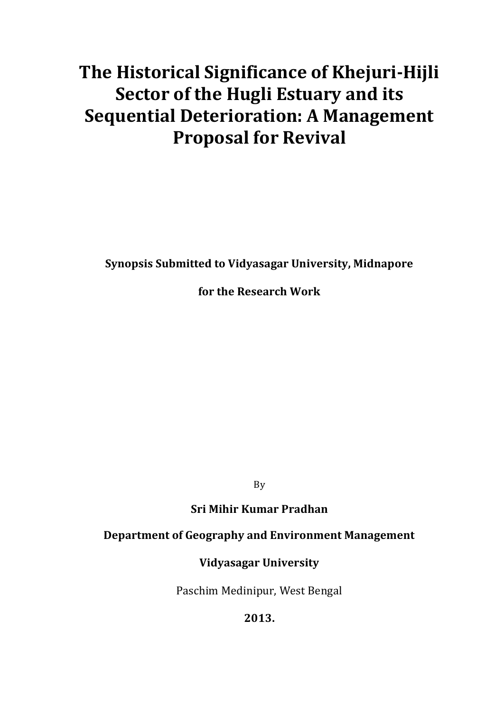# **The Historical Significance of Khejuri-Hijli Sector of the Hugli Estuary and its Sequential Deterioration: A Management Proposal for Revival**

**Synopsis Submitted to Vidyasagar University, Midnapore**

**for the Research Work**

By

**Sri Mihir Kumar Pradhan**

## **Department of Geography and Environment Management**

# **Vidyasagar University**

Paschim Medinipur, West Bengal

**2013.**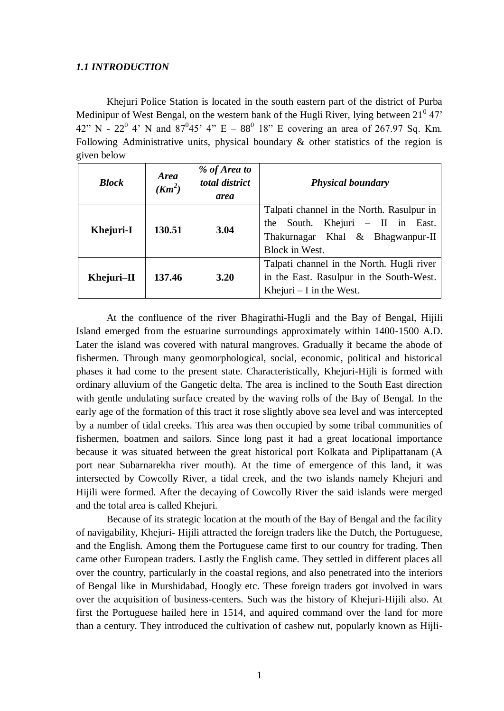#### *1.1 INTRODUCTION*

Khejuri Police Station is located in the south eastern part of the district of Purba Medinipur of West Bengal, on the western bank of the Hugli River, lying between  $21^{\circ}$  47' 42" N - 22<sup>0</sup> 4' N and  $87^0$ 45' 4" E -  $88^0$  18" E covering an area of 267.97 Sq. Km. Following Administrative units, physical boundary & other statistics of the region is given below

| <b>Block</b> | <b>Area</b><br>$(Km^2)$ | % of Area to<br>total district<br>area | <b>Physical boundary</b>                                                                                                                 |
|--------------|-------------------------|----------------------------------------|------------------------------------------------------------------------------------------------------------------------------------------|
| Khejuri-I    | 130.51                  | 3.04                                   | Talpati channel in the North. Rasulpur in<br>Khejuri $-$ II in East.<br>the South.<br>Thakurnagar Khal & Bhagwanpur-II<br>Block in West. |
| Khejuri-II   | 137.46                  | 3.20                                   | Talpati channel in the North. Hugli river<br>in the East. Rasulpur in the South-West.<br>Khejuri $-$ I in the West.                      |

At the confluence of the river Bhagirathi-Hugli and the Bay of Bengal, Hijili Island emerged from the estuarine surroundings approximately within 1400-1500 A.D. Later the island was covered with natural mangroves. Gradually it became the abode of fishermen. Through many geomorphological, social, economic, political and historical phases it had come to the present state. Characteristically, Khejuri-Hijli is formed with ordinary alluvium of the Gangetic delta. The area is inclined to the South East direction with gentle undulating surface created by the waving rolls of the Bay of Bengal. In the early age of the formation of this tract it rose slightly above sea level and was intercepted by a number of tidal creeks. This area was then occupied by some tribal communities of fishermen, boatmen and sailors. Since long past it had a great locational importance because it was situated between the great historical port Kolkata and Piplipattanam (A port near Subarnarekha river mouth). At the time of emergence of this land, it was intersected by Cowcolly River, a tidal creek, and the two islands namely Khejuri and Hijili were formed. After the decaying of Cowcolly River the said islands were merged and the total area is called Khejuri.

Because of its strategic location at the mouth of the Bay of Bengal and the facility of navigability, Khejuri- Hijili attracted the foreign traders like the Dutch, the Portuguese, and the English. Among them the Portuguese came first to our country for trading. Then came other European traders. Lastly the English came. They settled in different places all over the country, particularly in the coastal regions, and also penetrated into the interiors of Bengal like in Murshidabad, Hoogly etc. These foreign traders got involved in wars over the acquisition of business-centers. Such was the history of Khejuri-Hijili also. At first the Portuguese hailed here in 1514, and aquired command over the land for more than a century. They introduced the cultivation of cashew nut, popularly known as Hijli*-*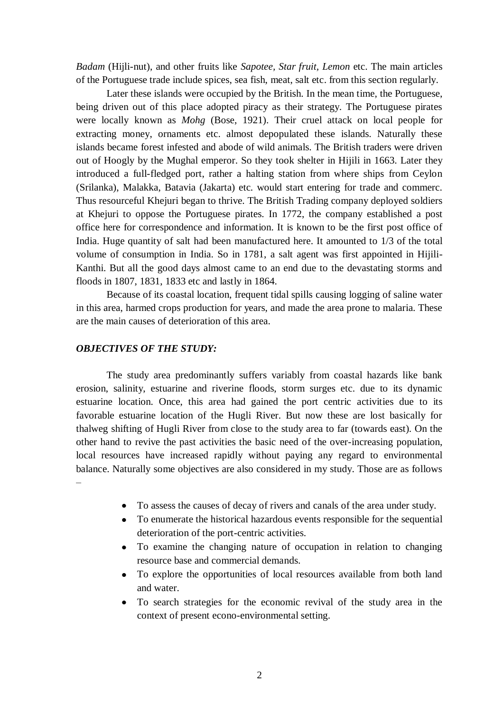*Badam* (Hijli-nut), and other fruits like *Sapotee, Star fruit, Lemon* etc. The main articles of the Portuguese trade include spices, sea fish, meat, salt etc. from this section regularly.

Later these islands were occupied by the British. In the mean time, the Portuguese, being driven out of this place adopted piracy as their strategy. The Portuguese pirates were locally known as *Mohg* (Bose, 1921). Their cruel attack on local people for extracting money, ornaments etc. almost depopulated these islands. Naturally these islands became forest infested and abode of wild animals. The British traders were driven out of Hoogly by the Mughal emperor. So they took shelter in Hijili in 1663. Later they introduced a full-fledged port, rather a halting station from where ships from Ceylon (Srilanka), Malakka, Batavia (Jakarta) etc. would start entering for trade and commerc. Thus resourceful Khejuri began to thrive. The British Trading company deployed soldiers at Khejuri to oppose the Portuguese pirates. In 1772, the company established a post office here for correspondence and information. It is known to be the first post office of India. Huge quantity of salt had been manufactured here. It amounted to 1/3 of the total volume of consumption in India. So in 1781, a salt agent was first appointed in Hijili-Kanthi. But all the good days almost came to an end due to the devastating storms and floods in 1807, 1831, 1833 etc and lastly in 1864.

Because of its coastal location, frequent tidal spills causing logging of saline water in this area, harmed crops production for years, and made the area prone to malaria. These are the main causes of deterioration of this area.

#### *OBJECTIVES OF THE STUDY:*

The study area predominantly suffers variably from coastal hazards like bank erosion, salinity, estuarine and riverine floods, storm surges etc. due to its dynamic estuarine location. Once, this area had gained the port centric activities due to its favorable estuarine location of the Hugli River. But now these are lost basically for thalweg shifting of Hugli River from close to the study area to far (towards east). On the other hand to revive the past activities the basic need of the over-increasing population, local resources have increased rapidly without paying any regard to environmental balance. Naturally some objectives are also considered in my study. Those are as follows –

- To assess the causes of decay of rivers and canals of the area under study.
- To enumerate the historical hazardous events responsible for the sequential deterioration of the port-centric activities.
- To examine the changing nature of occupation in relation to changing resource base and commercial demands.
- To explore the opportunities of local resources available from both land and water.
- To search strategies for the economic revival of the study area in the context of present econo-environmental setting.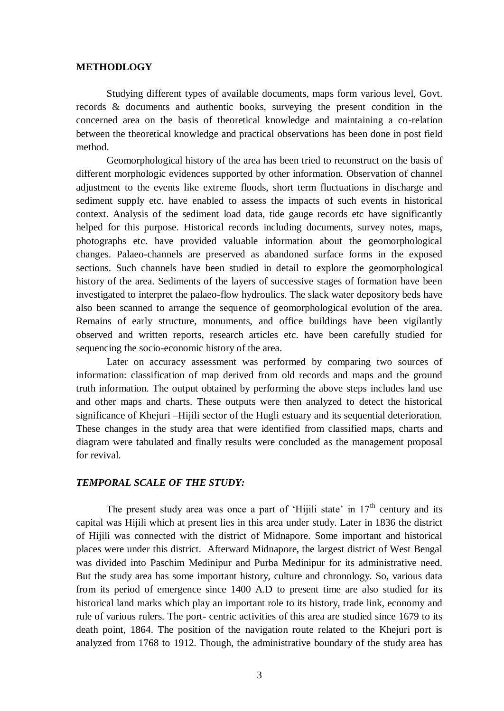#### **METHODLOGY**

Studying different types of available documents, maps form various level, Govt. records & documents and authentic books, surveying the present condition in the concerned area on the basis of theoretical knowledge and maintaining a co-relation between the theoretical knowledge and practical observations has been done in post field method.

Geomorphological history of the area has been tried to reconstruct on the basis of different morphologic evidences supported by other information. Observation of channel adjustment to the events like extreme floods, short term fluctuations in discharge and sediment supply etc. have enabled to assess the impacts of such events in historical context. Analysis of the sediment load data, tide gauge records etc have significantly helped for this purpose. Historical records including documents, survey notes, maps, photographs etc. have provided valuable information about the geomorphological changes. Palaeo-channels are preserved as abandoned surface forms in the exposed sections. Such channels have been studied in detail to explore the geomorphological history of the area. Sediments of the layers of successive stages of formation have been investigated to interpret the palaeo-flow hydroulics. The slack water depository beds have also been scanned to arrange the sequence of geomorphological evolution of the area. Remains of early structure, monuments, and office buildings have been vigilantly observed and written reports, research articles etc. have been carefully studied for sequencing the socio-economic history of the area.

Later on accuracy assessment was performed by comparing two sources of information: classification of map derived from old records and maps and the ground truth information. The output obtained by performing the above steps includes land use and other maps and charts. These outputs were then analyzed to detect the historical significance of Khejuri –Hijili sector of the Hugli estuary and its sequential deterioration. These changes in the study area that were identified from classified maps, charts and diagram were tabulated and finally results were concluded as the management proposal for revival.

#### *TEMPORAL SCALE OF THE STUDY:*

The present study area was once a part of 'Hijili state' in  $17<sup>th</sup>$  century and its capital was Hijili which at present lies in this area under study. Later in 1836 the district of Hijili was connected with the district of Midnapore. Some important and historical places were under this district. Afterward Midnapore, the largest district of West Bengal was divided into Paschim Medinipur and Purba Medinipur for its administrative need. But the study area has some important history, culture and chronology. So, various data from its period of emergence since 1400 A.D to present time are also studied for its historical land marks which play an important role to its history, trade link, economy and rule of various rulers. The port- centric activities of this area are studied since 1679 to its death point, 1864. The position of the navigation route related to the Khejuri port is analyzed from 1768 to 1912. Though, the administrative boundary of the study area has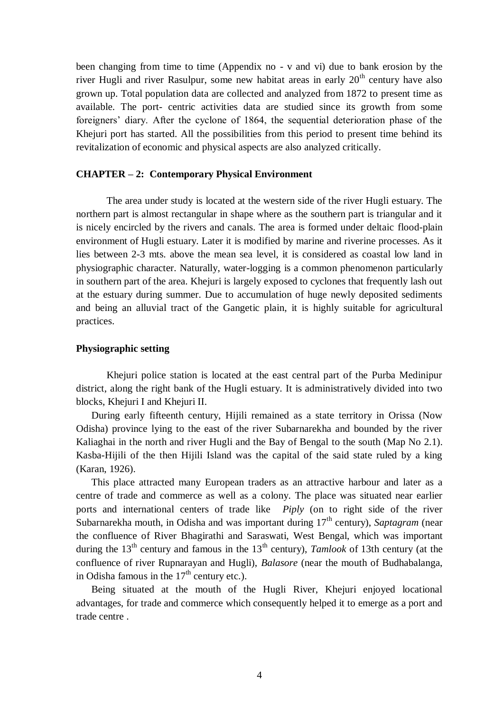been changing from time to time (Appendix no - v and vi) due to bank erosion by the river Hugli and river Rasulpur, some new habitat areas in early  $20<sup>th</sup>$  century have also grown up. Total population data are collected and analyzed from 1872 to present time as available. The port- centric activities data are studied since its growth from some foreigners" diary. After the cyclone of 1864, the sequential deterioration phase of the Khejuri port has started. All the possibilities from this period to present time behind its revitalization of economic and physical aspects are also analyzed critically.

#### **CHAPTER – 2: Contemporary Physical Environment**

The area under study is located at the western side of the river Hugli estuary. The northern part is almost rectangular in shape where as the southern part is triangular and it is nicely encircled by the rivers and canals. The area is formed under deltaic flood-plain environment of Hugli estuary. Later it is modified by marine and riverine processes. As it lies between 2-3 mts. above the mean sea level, it is considered as coastal low land in physiographic character. Naturally, water-logging is a common phenomenon particularly in southern part of the area. Khejuri is largely exposed to cyclones that frequently lash out at the estuary during summer. Due to accumulation of huge newly deposited sediments and being an alluvial tract of the Gangetic plain, it is highly suitable for agricultural practices.

#### **Physiographic setting**

Khejuri police station is located at the east central part of the Purba Medinipur district, along the right bank of the Hugli estuary. It is administratively divided into two blocks, Khejuri I and Khejuri II.

During early fifteenth century, Hijili remained as a state territory in Orissa (Now Odisha) province lying to the east of the river Subarnarekha and bounded by the river Kaliaghai in the north and river Hugli and the Bay of Bengal to the south (Map No 2.1). Kasba-Hijili of the then Hijili Island was the capital of the said state ruled by a king (Karan, 1926).

This place attracted many European traders as an attractive harbour and later as a centre of trade and commerce as well as a colony. The place was situated near earlier ports and international centers of trade like *Piply* (on to right side of the river Subarnarekha mouth, in Odisha and was important during 17<sup>th</sup> century), *Saptagram* (near the confluence of River Bhagirathi and Saraswati, West Bengal, which was important during the  $13<sup>th</sup>$  century and famous in the  $13<sup>th</sup>$  century), *Tamlook* of 13th century (at the confluence of river Rupnarayan and Hugli), *Balasore* (near the mouth of Budhabalanga, in Odisha famous in the  $17<sup>th</sup>$  century etc.).

Being situated at the mouth of the Hugli River, Khejuri enjoyed locational advantages, for trade and commerce which consequently helped it to emerge as a port and trade centre .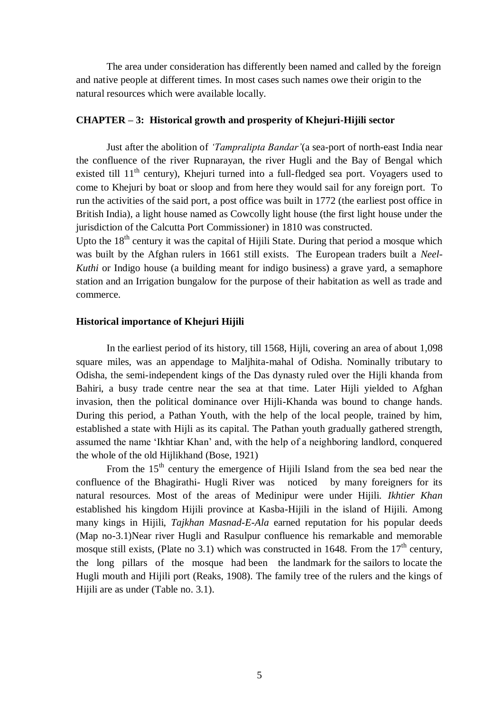The area under consideration has differently been named and called by the foreign and native people at different times. In most cases such names owe their origin to the natural resources which were available locally.

## **CHAPTER – 3: Historical growth and prosperity of Khejuri-Hijili sector**

Just after the abolition of *'Tampralipta Bandar'*(a sea-port of north-east India near the confluence of the river Rupnarayan, the river Hugli and the Bay of Bengal which existed till  $11<sup>th</sup>$  century), Khejuri turned into a full-fledged sea port. Voyagers used to come to Khejuri by boat or sloop and from here they would sail for any foreign port. To run the activities of the said port, a post office was built in 1772 (the earliest post office in British India), a light house named as Cowcolly light house (the first light house under the jurisdiction of the Calcutta Port Commissioner) in 1810 was constructed.

Upto the  $18<sup>th</sup>$  century it was the capital of Hijili State. During that period a mosque which was built by the Afghan rulers in 1661 still exists. The European traders built a *Neel-Kuthi* or Indigo house (a building meant for indigo business) a grave yard, a semaphore station and an Irrigation bungalow for the purpose of their habitation as well as trade and commerce.

#### **Historical importance of Khejuri Hijili**

In the earliest period of its history, till 1568, Hijli, covering an area of about 1,098 square miles, was an appendage to Maljhita-mahal of Odisha. Nominally tributary to Odisha, the semi-independent kings of the Das dynasty ruled over the Hijli khanda from Bahiri, a busy trade centre near the sea at that time. Later Hijli yielded to Afghan invasion, then the political dominance over Hijli-Khanda was bound to change hands. During this period, a Pathan Youth, with the help of the local people, trained by him, established a state with Hijli as its capital. The Pathan youth gradually gathered strength, assumed the name "Ikhtiar Khan" and, with the help of a neighboring landlord, conquered the whole of the old Hijlikhand (Bose, 1921)

From the  $15<sup>th</sup>$  century the emergence of Hijili Island from the sea bed near the confluence of the Bhagirathi- Hugli River was noticed by many foreigners for its natural resources. Most of the areas of Medinipur were under Hijili. *Ikhtier Khan* established his kingdom Hijili province at Kasba-Hijili in the island of Hijili. Among many kings in Hijili, *Tajkhan Masnad-E-Ala* earned reputation for his popular deeds (Map no-3.1)Near river Hugli and Rasulpur confluence his remarkable and memorable mosque still exists, (Plate no 3.1) which was constructed in 1648. From the  $17<sup>th</sup>$  century, the long pillars of the mosque had been the landmark for the sailors to locate the Hugli mouth and Hijili port (Reaks, 1908). The family tree of the rulers and the kings of Hijili are as under (Table no. 3.1).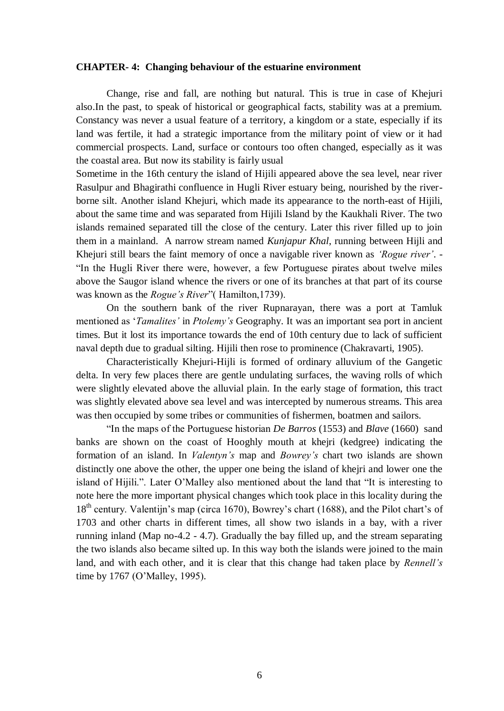#### **CHAPTER- 4: Changing behaviour of the estuarine environment**

Change, rise and fall, are nothing but natural. This is true in case of Khejuri also.In the past, to speak of historical or geographical facts, stability was at a premium. Constancy was never a usual feature of a territory, a kingdom or a state, especially if its land was fertile, it had a strategic importance from the military point of view or it had commercial prospects. Land, surface or contours too often changed, especially as it was the coastal area. But now its stability is fairly usual

Sometime in the 16th century the island of Hijili appeared above the sea level, near river Rasulpur and Bhagirathi confluence in Hugli River estuary being, nourished by the riverborne silt. Another island Khejuri, which made its appearance to the north-east of Hijili, about the same time and was separated from Hijili Island by the Kaukhali River. The two islands remained separated till the close of the century. Later this river filled up to join them in a mainland. A narrow stream named *Kunjapur Khal*, running between Hijli and Khejuri still bears the faint memory of once a navigable river known as *'Rogue river'*. - "In the Hugli River there were, however, a few Portuguese pirates about twelve miles above the Saugor island whence the rivers or one of its branches at that part of its course was known as the *Rogue's River*"( Hamilton,1739).

On the southern bank of the river Rupnarayan, there was a port at Tamluk mentioned as "*Tamalites'* in *Ptolemy's* Geography. It was an important sea port in ancient times. But it lost its importance towards the end of 10th century due to lack of sufficient naval depth due to gradual silting. Hijili then rose to prominence (Chakravarti, 1905).

Characteristically Khejuri-Hijli is formed of ordinary alluvium of the Gangetic delta. In very few places there are gentle undulating surfaces, the waving rolls of which were slightly elevated above the alluvial plain. In the early stage of formation, this tract was slightly elevated above sea level and was intercepted by numerous streams. This area was then occupied by some tribes or communities of fishermen, boatmen and sailors.

"In the maps of the Portuguese historian *De Barros* (1553) and *Blave* (1660) sand banks are shown on the coast of Hooghly mouth at khejri (kedgree) indicating the formation of an island. In *Valentyn's* map and *Bowrey's* chart two islands are shown distinctly one above the other, the upper one being the island of khejri and lower one the island of Hijili.". Later O"Malley also mentioned about the land that "It is interesting to note here the more important physical changes which took place in this locality during the  $18<sup>th</sup>$  century. Valentijn's map (circa 1670), Bowrey's chart (1688), and the Pilot chart's of 1703 and other charts in different times, all show two islands in a bay, with a river running inland (Map no-4.2 - 4.7). Gradually the bay filled up, and the stream separating the two islands also became silted up. In this way both the islands were joined to the main land, and with each other, and it is clear that this change had taken place by *Rennell's* time by 1767 (O"Malley, 1995)*.*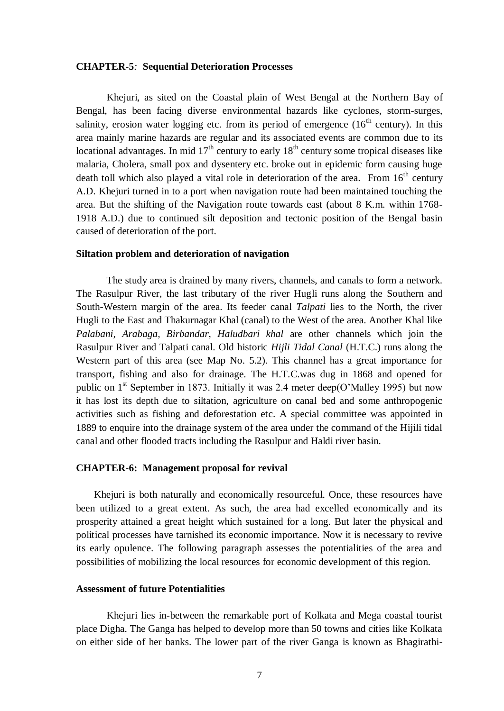#### **CHAPTER-5***:* **Sequential Deterioration Processes**

Khejuri, as sited on the Coastal plain of West Bengal at the Northern Bay of Bengal, has been facing diverse environmental hazards like cyclones, storm-surges, salinity, erosion water logging etc. from its period of emergence  $(16<sup>th</sup>$  century). In this area mainly marine hazards are regular and its associated events are common due to its locational advantages. In mid  $17<sup>th</sup>$  century to early  $18<sup>th</sup>$  century some tropical diseases like malaria, Cholera, small pox and dysentery etc. broke out in epidemic form causing huge death toll which also played a vital role in deterioration of the area. From  $16<sup>th</sup>$  century A.D. Khejuri turned in to a port when navigation route had been maintained touching the area. But the shifting of the Navigation route towards east (about 8 K.m. within 1768- 1918 A.D.) due to continued silt deposition and tectonic position of the Bengal basin caused of deterioration of the port.

#### **Siltation problem and deterioration of navigation**

The study area is drained by many rivers, channels, and canals to form a network. The Rasulpur River, the last tributary of the river Hugli runs along the Southern and South-Western margin of the area. Its feeder canal *Talpati* lies to the North, the river Hugli to the East and Thakurnagar Khal (canal) to the West of the area. Another Khal like *Palabani, Arabaga, Birbandar, Haludbari khal* are other channels which join the Rasulpur River and Talpati canal. Old historic *Hijli Tidal Canal* (H.T.C.) runs along the Western part of this area (see Map No. 5.2). This channel has a great importance for transport, fishing and also for drainage. The H.T.C.was dug in 1868 and opened for public on  $1<sup>st</sup>$  September in 1873. Initially it was 2.4 meter deep(O'Malley 1995) but now it has lost its depth due to siltation, agriculture on canal bed and some anthropogenic activities such as fishing and deforestation etc. A special committee was appointed in 1889 to enquire into the drainage system of the area under the command of the Hijili tidal canal and other flooded tracts including the Rasulpur and Haldi river basin.

#### **CHAPTER-6: Management proposal for revival**

Khejuri is both naturally and economically resourceful. Once, these resources have been utilized to a great extent. As such, the area had excelled economically and its prosperity attained a great height which sustained for a long. But later the physical and political processes have tarnished its economic importance. Now it is necessary to revive its early opulence. The following paragraph assesses the potentialities of the area and possibilities of mobilizing the local resources for economic development of this region.

#### **Assessment of future Potentialities**

Khejuri lies in-between the remarkable port of Kolkata and Mega coastal tourist place Digha. The Ganga has helped to develop more than 50 towns and cities like Kolkata on either side of her banks. The lower part of the river Ganga is known as Bhagirathi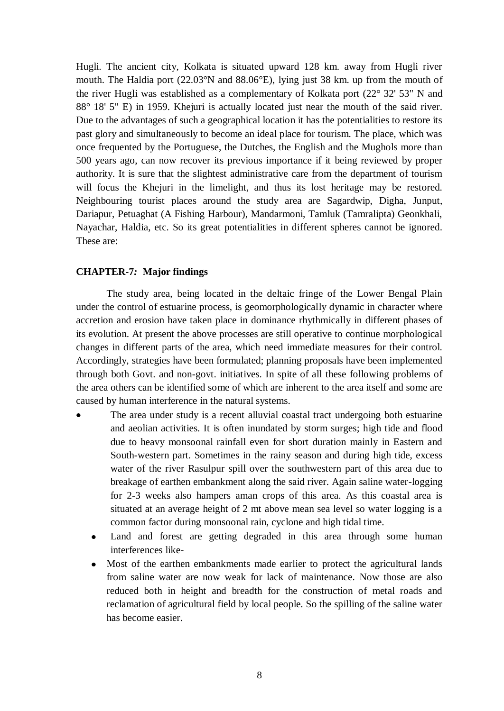Hugli. The ancient city, Kolkata is situated upward 128 km. away from Hugli river mouth. The Haldia port (22.03°N and 88.06°E), lying just 38 km. up from the mouth of the river Hugli was established as a complementary of Kolkata port (22° 32' 53" [N](http://en.wikipedia.org/wiki/North) and 88° 18' 5" [E\)](http://en.wikipedia.org/wiki/East) in 1959. Khejuri is actually located just near the mouth of the said river. Due to the advantages of such a geographical location it has the potentialities to restore its past glory and simultaneously to become an ideal place for tourism. The place, which was once frequented by the Portuguese, the Dutches, the English and the Mughols more than 500 years ago, can now recover its previous importance if it being reviewed by proper authority. It is sure that the slightest administrative care from the department of tourism will focus the Khejuri in the limelight, and thus its lost heritage may be restored. Neighbouring tourist places around the study area are Sagardwip, Digha, Junput, Dariapur, Petuaghat (A Fishing Harbour), Mandarmoni, Tamluk (Tamralipta) Geonkhali, Nayachar, Haldia, etc. So its great potentialities in different spheres cannot be ignored. These are:

#### **CHAPTER-7***:* **Major findings**

The study area, being located in the deltaic fringe of the Lower Bengal Plain under the control of estuarine process, is geomorphologically dynamic in character where accretion and erosion have taken place in dominance rhythmically in different phases of its evolution. At present the above processes are still operative to continue morphological changes in different parts of the area, which need immediate measures for their control. Accordingly, strategies have been formulated; planning proposals have been implemented through both Govt. and non-govt. initiatives. In spite of all these following problems of the area others can be identified some of which are inherent to the area itself and some are caused by human interference in the natural systems.

- The area under study is a recent alluvial coastal tract undergoing both estuarine and aeolian activities. It is often inundated by storm surges; high tide and flood due to heavy monsoonal rainfall even for short duration mainly in Eastern and South-western part. Sometimes in the rainy season and during high tide, excess water of the river Rasulpur spill over the southwestern part of this area due to breakage of earthen embankment along the said river. Again saline water-logging for 2-3 weeks also hampers aman crops of this area. As this coastal area is situated at an average height of 2 mt above mean sea level so water logging is a common factor during monsoonal rain, cyclone and high tidal time.
	- Land and forest are getting degraded in this area through some human interferences like-
	- Most of the earthen embankments made earlier to protect the agricultural lands from saline water are now weak for lack of maintenance. Now those are also reduced both in height and breadth for the construction of metal roads and reclamation of agricultural field by local people. So the spilling of the saline water has become easier.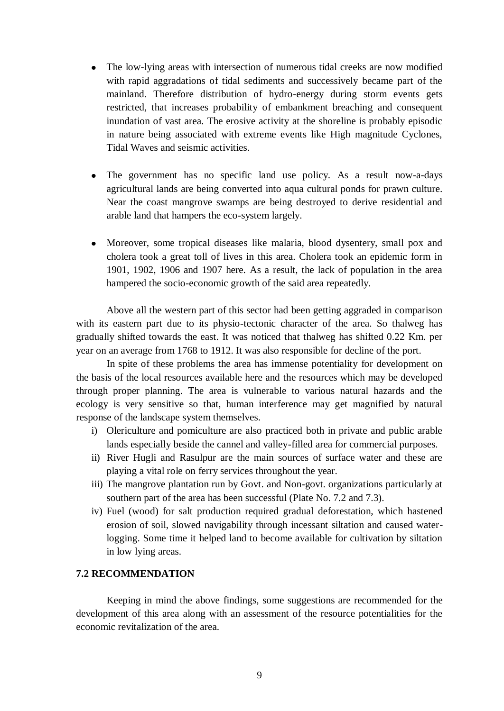- The low-lying areas with intersection of numerous tidal creeks are now modified with rapid aggradations of tidal sediments and successively became part of the mainland. Therefore distribution of hydro-energy during storm events gets restricted, that increases probability of embankment breaching and consequent inundation of vast area. The erosive activity at the shoreline is probably episodic in nature being associated with extreme events like High magnitude Cyclones, Tidal Waves and seismic activities.
- The government has no specific land use policy. As a result now-a-days agricultural lands are being converted into aqua cultural ponds for prawn culture. Near the coast mangrove swamps are being destroyed to derive residential and arable land that hampers the eco-system largely.
- Moreover, some tropical diseases like malaria, blood dysentery, small pox and  $\bullet$ cholera took a great toll of lives in this area. Cholera took an epidemic form in 1901, 1902, 1906 and 1907 here. As a result, the lack of population in the area hampered the socio-economic growth of the said area repeatedly.

Above all the western part of this sector had been getting aggraded in comparison with its eastern part due to its physio-tectonic character of the area. So thalweg has gradually shifted towards the east. It was noticed that thalweg has shifted 0.22 Km. per year on an average from 1768 to 1912. It was also responsible for decline of the port.

In spite of these problems the area has immense potentiality for development on the basis of the local resources available here and the resources which may be developed through proper planning. The area is vulnerable to various natural hazards and the ecology is very sensitive so that, human interference may get magnified by natural response of the landscape system themselves.

- i) Olericulture and pomiculture are also practiced both in private and public arable lands especially beside the cannel and valley-filled area for commercial purposes.
- ii) River Hugli and Rasulpur are the main sources of surface water and these are playing a vital role on ferry services throughout the year.
- iii) The mangrove plantation run by Govt. and Non-govt. organizations particularly at southern part of the area has been successful (Plate No. 7.2 and 7.3).
- iv) Fuel (wood) for salt production required gradual deforestation, which hastened erosion of soil, slowed navigability through incessant siltation and caused waterlogging. Some time it helped land to become available for cultivation by siltation in low lying areas.

#### **7.2 RECOMMENDATION**

Keeping in mind the above findings, some suggestions are recommended for the development of this area along with an assessment of the resource potentialities for the economic revitalization of the area.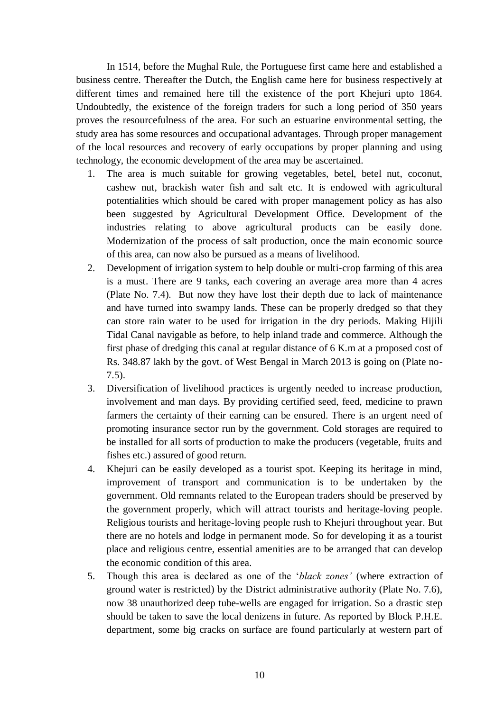In 1514, before the Mughal Rule, the Portuguese first came here and established a business centre. Thereafter the Dutch, the English came here for business respectively at different times and remained here till the existence of the port Khejuri upto 1864. Undoubtedly, the existence of the foreign traders for such a long period of 350 years proves the resourcefulness of the area. For such an estuarine environmental setting, the study area has some resources and occupational advantages. Through proper management of the local resources and recovery of early occupations by proper planning and using technology, the economic development of the area may be ascertained.

- 1. The area is much suitable for growing vegetables, betel, betel nut, coconut, cashew nut, brackish water fish and salt etc. It is endowed with agricultural potentialities which should be cared with proper management policy as has also been suggested by Agricultural Development Office. Development of the industries relating to above agricultural products can be easily done. Modernization of the process of salt production, once the main economic source of this area, can now also be pursued as a means of livelihood.
- 2. Development of irrigation system to help double or multi-crop farming of this area is a must. There are 9 tanks, each covering an average area more than 4 acres (Plate No. 7.4). But now they have lost their depth due to lack of maintenance and have turned into swampy lands. These can be properly dredged so that they can store rain water to be used for irrigation in the dry periods. Making Hijili Tidal Canal navigable as before, to help inland trade and commerce. Although the first phase of dredging this canal at regular distance of 6 K.m at a proposed cost of Rs. 348.87 lakh by the govt. of West Bengal in March 2013 is going on (Plate no-7.5).
- 3. Diversification of livelihood practices is urgently needed to increase production, involvement and man days. By providing certified seed, feed, medicine to prawn farmers the certainty of their earning can be ensured. There is an urgent need of promoting insurance sector run by the government. Cold storages are required to be installed for all sorts of production to make the producers (vegetable, fruits and fishes etc.) assured of good return.
- 4. Khejuri can be easily developed as a tourist spot. Keeping its heritage in mind, improvement of transport and communication is to be undertaken by the government. Old remnants related to the European traders should be preserved by the government properly, which will attract tourists and heritage-loving people. Religious tourists and heritage-loving people rush to Khejuri throughout year. But there are no hotels and lodge in permanent mode. So for developing it as a tourist place and religious centre, essential amenities are to be arranged that can develop the economic condition of this area.
- 5. Though this area is declared as one of the "*black zones'* (where extraction of ground water is restricted) by the District administrative authority (Plate No. 7.6), now 38 unauthorized deep tube-wells are engaged for irrigation. So a drastic step should be taken to save the local denizens in future. As reported by Block P.H.E. department, some big cracks on surface are found particularly at western part of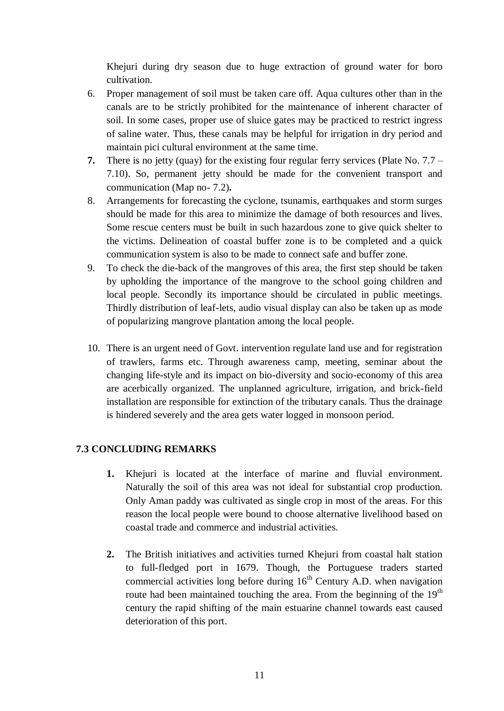Khejuri during dry season due to huge extraction of ground water for boro cultivation.

- 6. Proper management of soil must be taken care off. Aqua cultures other than in the canals are to be strictly prohibited for the maintenance of inherent character of soil. In some cases, proper use of sluice gates may be practiced to restrict ingress of saline water. Thus, these canals may be helpful for irrigation in dry period and maintain pici cultural environment at the same time.
- **7.** There is no jetty (quay) for the existing four regular ferry services (Plate No. 7.7 7.10). So, permanent jetty should be made for the convenient transport and communication (Map no- 7.2)**.**
- 8. Arrangements for forecasting the cyclone, tsunamis, earthquakes and storm surges should be made for this area to minimize the damage of both resources and lives. Some rescue centers must be built in such hazardous zone to give quick shelter to the victims. Delineation of coastal buffer zone is to be completed and a quick communication system is also to be made to connect safe and buffer zone.
- 9. To check the die-back of the mangroves of this area, the first step should be taken by upholding the importance of the mangrove to the school going children and local people. Secondly its importance should be circulated in public meetings. Thirdly distribution of leaf-lets, audio visual display can also be taken up as mode of popularizing mangrove plantation among the local people.
- 10. There is an urgent need of Govt. intervention regulate land use and for registration of trawlers, farms etc. Through awareness camp, meeting, seminar about the changing life-style and its impact on bio-diversity and socio-economy of this area are acerbically organized. The unplanned agriculture, irrigation, and brick-field installation are responsible for extinction of the tributary canals. Thus the drainage is hindered severely and the area gets water logged in monsoon period.

### **7.3 CONCLUDING REMARKS**

- **1.** Khejuri is located at the interface of marine and fluvial environment. Naturally the soil of this area was not ideal for substantial crop production. Only Aman paddy was cultivated as single crop in most of the areas. For this reason the local people were bound to choose alternative livelihood based on coastal trade and commerce and industrial activities.
- **2.** The British initiatives and activities turned Khejuri from coastal halt station to full-fledged port in 1679. Though, the Portuguese traders started commercial activities long before during  $16<sup>th</sup>$  Century A.D. when navigation route had been maintained touching the area. From the beginning of the  $19<sup>th</sup>$ century the rapid shifting of the main estuarine channel towards east caused deterioration of this port.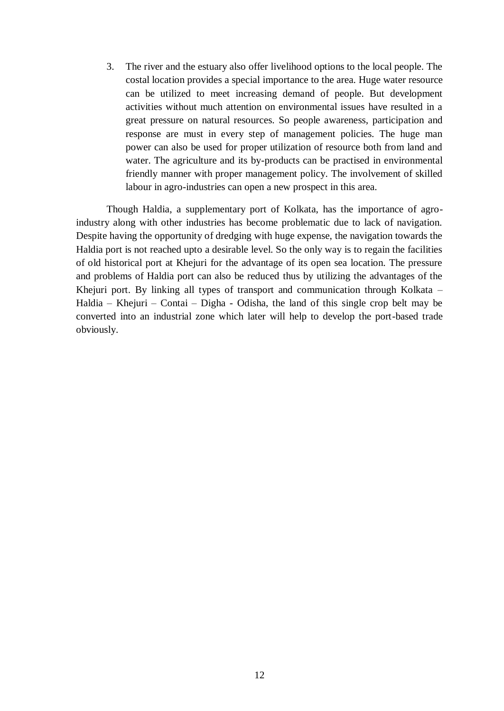3. The river and the estuary also offer livelihood options to the local people. The costal location provides a special importance to the area. Huge water resource can be utilized to meet increasing demand of people. But development activities without much attention on environmental issues have resulted in a great pressure on natural resources. So people awareness, participation and response are must in every step of management policies. The huge man power can also be used for proper utilization of resource both from land and water. The agriculture and its by-products can be practised in environmental friendly manner with proper management policy. The involvement of skilled labour in agro-industries can open a new prospect in this area.

Though Haldia, a supplementary port of Kolkata, has the importance of agroindustry along with other industries has become problematic due to lack of navigation. Despite having the opportunity of dredging with huge expense, the navigation towards the Haldia port is not reached upto a desirable level. So the only way is to regain the facilities of old historical port at Khejuri for the advantage of its open sea location. The pressure and problems of Haldia port can also be reduced thus by utilizing the advantages of the Khejuri port. By linking all types of transport and communication through Kolkata – Haldia – Khejuri – Contai – Digha - Odisha, the land of this single crop belt may be converted into an industrial zone which later will help to develop the port-based trade obviously.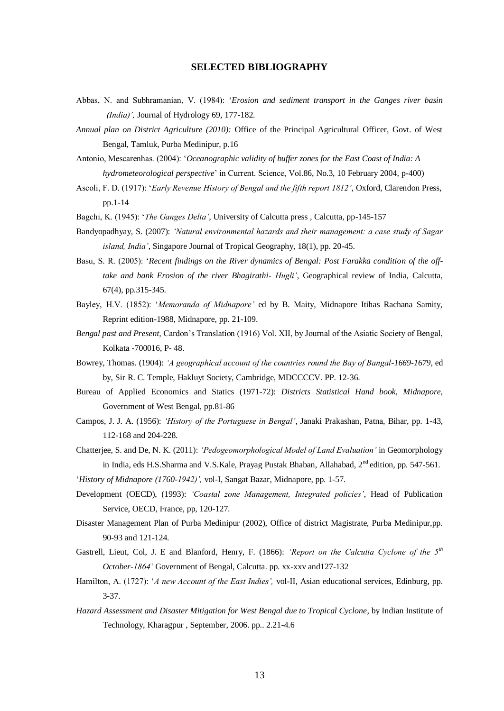#### **SELECTED BIBLIOGRAPHY**

- Abbas, N. and Subhramanian, V. (1984): "*Erosion and sediment transport in the Ganges river basin (India)',* Journal of Hydrology 69, 177-182.
- *Annual plan on District Agriculture (2010):* Office of the Principal Agricultural Officer, Govt. of West Bengal, Tamluk, Purba Medinipur, p.16
- Antonio, Mescarenhas. (2004): "*Oceanographic validity of buffer zones for the East Coast of India: A hydrometeorological perspective*" in Current. Science, Vol.86, No.3, 10 February 2004, p-400)
- Ascoli, F. D. (1917): "*Early Revenue History of Bengal and the fifth report 1812'*, Oxford, Clarendon Press, pp.1-14
- Bagchi, K. (1945): "*The Ganges Delta'*, University of Calcutta press , Calcutta, pp-145-157
- Bandyopadhyay, S. (2007): *'Natural environmental hazards and their management: a case study of Sagar island, India'*, Singapore Journal of Tropical Geography, 18(1), pp. 20-45.
- Basu, S. R. (2005): "*Recent findings on the River dynamics of Bengal: Post Farakka condition of the offtake and bank Erosion of the river Bhagirathi- Hugli'*, Geographical review of India, Calcutta, 67(4), pp.315-345.
- Bayley, H.V. (1852): "*Memoranda of Midnapore'* ed by B. Maity, Midnapore Itihas Rachana Samity, Reprint edition-1988, Midnapore, pp. 21-109.
- *Bengal past and Present,* Cardon"s Translation (1916) Vol. XII, by Journal of the Asiatic Society of Bengal, Kolkata -700016, P- 48.
- Bowrey, Thomas. (1904): *'A geographical account of the countries round the Bay of Bangal-1669-1679,* ed by, Sir R. C. Temple, Hakluyt Society, Cambridge, MDCCCCV. PP. 12-36.
- Bureau of Applied Economics and Statics (1971-72): *Districts Statistical Hand book, Midnapore,* Government of West Bengal, pp.81-86
- Campos, J. J. A. (1956): *'History of the Portuguese in Bengal'*, Janaki Prakashan, Patna, Bihar, pp. 1-43, 112-168 and 204-228.
- Chatterjee, S. and De, N. K. (2011): *'Pedogeomorphological Model of Land Evaluation'* in Geomorphology in India, eds H.S.Sharma and V.S.Kale, Prayag Pustak Bhaban, Allahabad, 2<sup>nd</sup> edition, pp. 547-561.

"*History of Midnapore (1760-1942)',* vol-I, Sangat Bazar, Midnapore, pp. 1-57.

- Development (OECD), (1993): *'Coastal zone Management, Integrated policies'*, Head of Publication Service, OECD, France, pp, 120-127.
- Disaster Management Plan of Purba Medinipur (2002), Office of district Magistrate, Purba Medinipur,pp. 90-93 and 121-124.
- Gastrell, Lieut, Col, J. E and Blanford, Henry, F. (1866): *'Report on the Calcutta Cyclone of the 5th October-1864'* Government of Bengal, Calcutta. pp. xx-xxv and127-132
- Hamilton, A. (1727): "*A new Account of the East Indies',* vol-II, Asian educational services, Edinburg, pp. 3-37.
- *Hazard Assessment and Disaster Mitigation for West Bengal due to Tropical Cyclone*, by Indian Institute of Technology, Kharagpur , September, 2006. pp.. 2.21-4.6